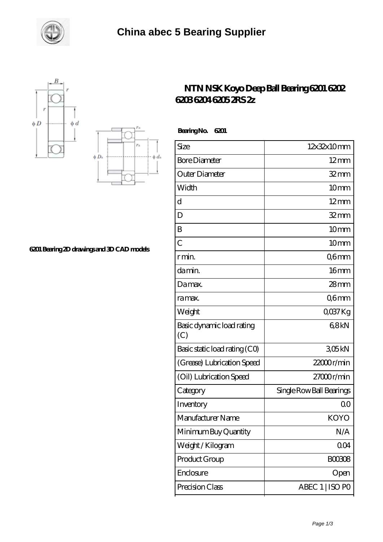





**[6201 Bearing 2D drawings and 3D CAD models](https://m.smokehousewinery.com/pic-563939.html)**

## **[NTN NSK Koyo Deep Ball Bearing 6201 6202](https://m.smokehousewinery.com/nsk-6201-bearing/ntn-nsk-koyo-deep-ball-bearing-6201-6202-6203-6204-6205-2rs-2z.html) [6203 6204 6205 2RS 2z](https://m.smokehousewinery.com/nsk-6201-bearing/ntn-nsk-koyo-deep-ball-bearing-6201-6202-6203-6204-6205-2rs-2z.html)**

| <b>BearingNo.</b><br>6201        |                          |
|----------------------------------|--------------------------|
| Size                             | 12x32x10mm               |
| <b>Bore Diameter</b>             | $12 \text{mm}$           |
| Outer Diameter                   | $32$ mm                  |
| Width                            | 10mm                     |
| $\overline{\rm d}$               | $12 \text{mm}$           |
| D                                | $32 \, \text{mm}$        |
| B                                | 10 <sub>mm</sub>         |
| $\overline{C}$                   | 10 <sub>mm</sub>         |
| r min.                           | Q6mm                     |
| da min.                          | 16 <sub>mm</sub>         |
| Damax.                           | $28$ mm                  |
| ra max.                          | Q6mm                     |
| Weight                           | QO37Kg                   |
| Basic dynamic load rating<br>(C) | 68kN                     |
| Basic static load rating (CO)    | 305kN                    |
| (Grease) Lubrication Speed       | 22000r/min               |
| (Oil) Lubrication Speed          | 27000r/min               |
| Category                         | Single Row Ball Bearings |
| Inventory                        | QO                       |
| Manufacturer Name                | KOYO                     |
| Minimum Buy Quantity             | N/A                      |
| Weight/Kilogram                  | 004                      |
| Product Group                    | <b>BOO3O8</b>            |
| Enclosure                        | Open                     |
| Precision Class                  | ABEC 1   ISO PO          |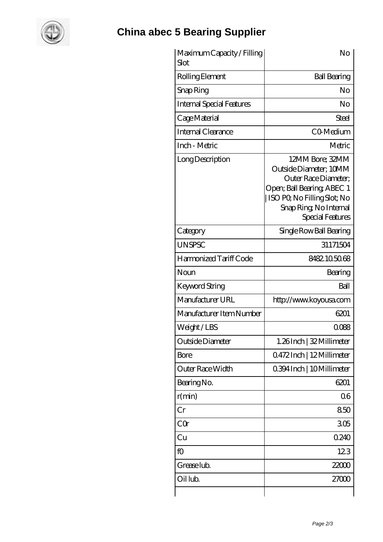

## **[China abec 5 Bearing Supplier](https://m.smokehousewinery.com)**

| Maximum Capacity / Filling<br>Slot | No                                                                                                                                                                           |
|------------------------------------|------------------------------------------------------------------------------------------------------------------------------------------------------------------------------|
| Rolling Element                    | <b>Ball Bearing</b>                                                                                                                                                          |
| Snap Ring                          | No                                                                                                                                                                           |
| <b>Internal Special Features</b>   | No                                                                                                                                                                           |
| Cage Material                      | Steel                                                                                                                                                                        |
| Internal Clearance                 | CO-Medium                                                                                                                                                                    |
| Inch - Metric                      | Metric                                                                                                                                                                       |
| Long Description                   | 12MM Bore; 32MM<br>Outside Diameter; 10MM<br>Outer Race Diameter:<br>Open; Ball Bearing; ABEC 1<br>ISO PO, No Filling Slot; No<br>Snap Ring, No Internal<br>Special Features |
| Category                           | Single Row Ball Bearing                                                                                                                                                      |
| <b>UNSPSC</b>                      | 31171504                                                                                                                                                                     |
| Harmonized Tariff Code             | 8482105068                                                                                                                                                                   |
| Noun                               | Bearing                                                                                                                                                                      |
| Keyword String                     | Ball                                                                                                                                                                         |
| Manufacturer URL                   | http://www.koyousa.com                                                                                                                                                       |
| Manufacturer Item Number           | 6201                                                                                                                                                                         |
| Weight/LBS                         | 0088                                                                                                                                                                         |
| Outside Diameter                   | 1.26Inch   32 Millimeter                                                                                                                                                     |
| <b>Bore</b>                        | Q472Inch   12Millimeter                                                                                                                                                      |
| Outer Race Width                   | 0.394 Inch   10 Millimeter                                                                                                                                                   |
| Bearing No.                        | 6201                                                                                                                                                                         |
| r(min)                             | 06                                                                                                                                                                           |
| Cr                                 | 850                                                                                                                                                                          |
| CQr                                | 305                                                                                                                                                                          |
| Cu                                 | 0240                                                                                                                                                                         |
| fO                                 | 123                                                                                                                                                                          |
| Grease lub.                        | 22000                                                                                                                                                                        |
| Oil lub.                           | 27000                                                                                                                                                                        |
|                                    |                                                                                                                                                                              |